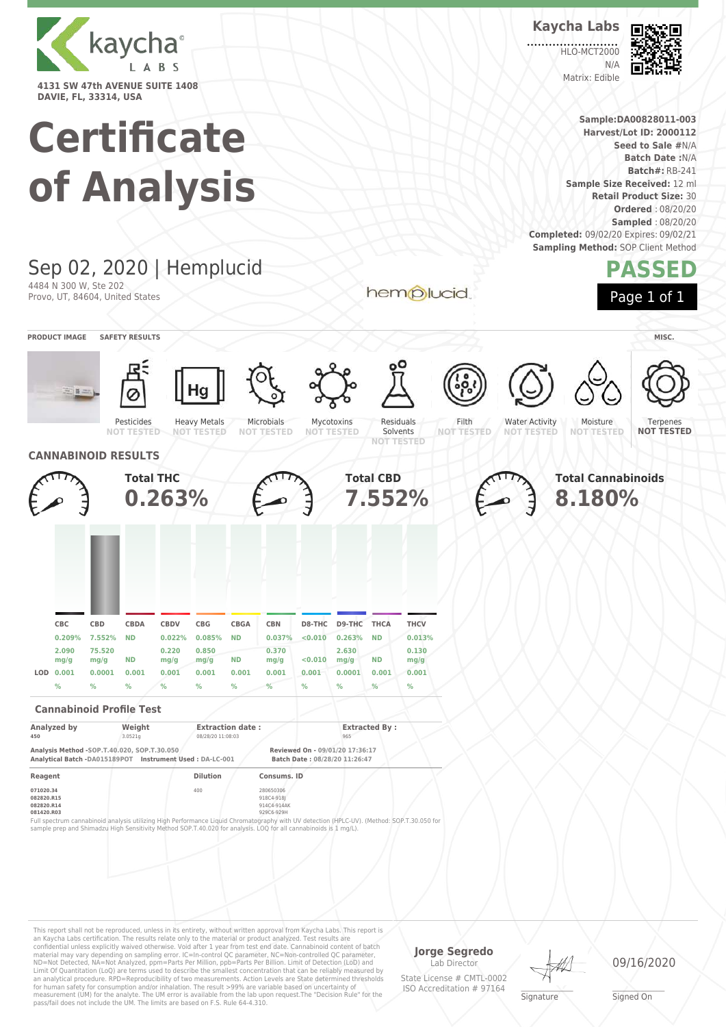

# **Certificate**

|                                                                       |                                                         |                                                       | of Analysis                                                                                                        |                                                      |                                                     |                                              |                                                                                                                                                                                         |                                          |                                                                         |                                                     |                                                                                                                                            |                            |                                            | Completed: 09/02/20 Expires: 09/02/21<br><b>Sampling Method: SOP Client Method</b> |                                     | Seed to Sale #N/A<br><b>Batch Date: N/A</b><br><b>Batch#: RB-241</b><br>Sample Size Received: 12 ml<br><b>Retail Product Size: 30</b><br><b>Ordered: 08/20/20</b><br><b>Sampled: 08/20/20</b> |  |
|-----------------------------------------------------------------------|---------------------------------------------------------|-------------------------------------------------------|--------------------------------------------------------------------------------------------------------------------|------------------------------------------------------|-----------------------------------------------------|----------------------------------------------|-----------------------------------------------------------------------------------------------------------------------------------------------------------------------------------------|------------------------------------------|-------------------------------------------------------------------------|-----------------------------------------------------|--------------------------------------------------------------------------------------------------------------------------------------------|----------------------------|--------------------------------------------|------------------------------------------------------------------------------------|-------------------------------------|-----------------------------------------------------------------------------------------------------------------------------------------------------------------------------------------------|--|
|                                                                       |                                                         | 4484 N 300 W, Ste 202                                 | Sep 02, 2020   Hemplucid<br>Provo, UT, 84604, United States                                                        |                                                      |                                                     |                                              |                                                                                                                                                                                         |                                          |                                                                         |                                                     | hemplucid                                                                                                                                  |                            |                                            |                                                                                    |                                     | PASSED<br>Page 1 of 1                                                                                                                                                                         |  |
|                                                                       | <b>PRODUCT IMAGE</b>                                    |                                                       | <b>SAFETY RESULTS</b><br>Pesticides<br><b>NOT TESTED</b>                                                           |                                                      | Hg<br><b>Heavy Metals</b><br><b>NOT TESTED</b>      |                                              | Microbials<br>NOT TESTED                                                                                                                                                                |                                          | Mycotoxins<br><b>NOT TESTED</b>                                         | Residuals<br>Solvents<br><b>NOT TESTED</b>          |                                                                                                                                            | Filth<br><b>NOT TESTED</b> | <b>Water Activity</b><br><b>NOT TESTED</b> |                                                                                    | Moisture<br><b>NOT TESTED</b>       | MISC.<br>Terpenes<br><b>NOT TESTED</b>                                                                                                                                                        |  |
|                                                                       |                                                         |                                                       | <b>CANNABINOID RESULTS</b><br><b>Total THC</b>                                                                     | 0.263%                                               |                                                     |                                              |                                                                                                                                                                                         |                                          |                                                                         | <b>Total CBD</b><br>7.552%                          |                                                                                                                                            |                            |                                            |                                                                                    | <b>Total Cannabinoids</b><br>8.180% |                                                                                                                                                                                               |  |
|                                                                       | <b>CBC</b><br>0.209%<br>2.090<br>mg/g<br>LOD 0.001<br>% | <b>CBD</b><br>7.552%<br>75.520<br>mg/g<br>0.0001<br>% | <b>CBDA</b><br><b>ND</b><br>ND<br>0.001<br>℅                                                                       | <b>CBDV</b><br>0.022%<br>0.220<br>mg/g<br>0.001<br>℅ | <b>CBG</b><br>0.085%<br>0.850<br>mg/g<br>0.001<br>% | <b>CBGA</b><br><b>ND</b><br>ND<br>0.001<br>% | <b>CBN</b><br>0.037%<br>0.370<br>mg/g<br>0.001<br>%                                                                                                                                     | D8-THC<br>< 0.010<br>0.010<br>0.001<br>℅ | D9-THC<br>0.263%<br>2.630<br>mg/g<br>0.0001<br>%                        | <b>THCA</b><br><b>ND</b><br><b>ND</b><br>0.001<br>% | <b>THCV</b><br>0.013%<br>0.130<br>mg/g<br>0.001<br>%                                                                                       |                            |                                            |                                                                                    |                                     |                                                                                                                                                                                               |  |
|                                                                       | Analyzed by                                             |                                                       | <b>Cannabinoid Profile Test</b><br>Weight                                                                          |                                                      |                                                     | <b>Extraction date:</b>                      |                                                                                                                                                                                         |                                          |                                                                         | <b>Extracted By:</b>                                |                                                                                                                                            |                            |                                            |                                                                                    |                                     |                                                                                                                                                                                               |  |
| 450<br>Reagent<br>071020.34<br>082820.R15<br>082820.R14<br>081420.R03 |                                                         |                                                       | 3.0521g<br>Analysis Method -SOP.T.40.020, SOP.T.30.050<br>Analytical Batch -DA015189POT Instrument Used: DA-LC-001 |                                                      | 08/28/20 11:08:03<br><b>Dilution</b><br>400         |                                              | Consums. ID<br>280650306<br>918C4-918J<br>914C4-914AK<br>929C6-929H<br>sample prep and Shimadzu High Sensitivity Method SOP.T.40.020 for analysis. LOQ for all cannabinoids is 1 mg/L). |                                          | 965<br>Reviewed On - 09/01/20 17:36:17<br>Batch Date: 08/28/20 11:26:47 |                                                     | Full spectrum cannabinoid analysis utilizing High Performance Liquid Chromatography with UV detection (HPLC-UV). (Method: SOP.T.30.050 for |                            |                                            |                                                                                    |                                     |                                                                                                                                                                                               |  |
|                                                                       |                                                         |                                                       |                                                                                                                    |                                                      |                                                     |                                              |                                                                                                                                                                                         |                                          |                                                                         |                                                     |                                                                                                                                            |                            |                                            |                                                                                    |                                     |                                                                                                                                                                                               |  |

This report shall not be reproduced, unless in its entirety, without written approval from Kaycha Labs. This report is<br>an Kaycha Labs certification. The results relate only to the materal or product analyzed. Test results

**Jorge Segredo**

Lab Director State License # CMTL-0002 ISO Accreditation # 97164

**Signature** 

09/16/2020

\_\_\_\_\_\_\_\_\_\_\_\_\_\_\_\_\_\_\_ Signed On

**Kaycha Labs** 匠 HLO-MCT2000

N/A Matrix: Edible



**Sample:DA00828011-003 Harvest/Lot ID: 2000112**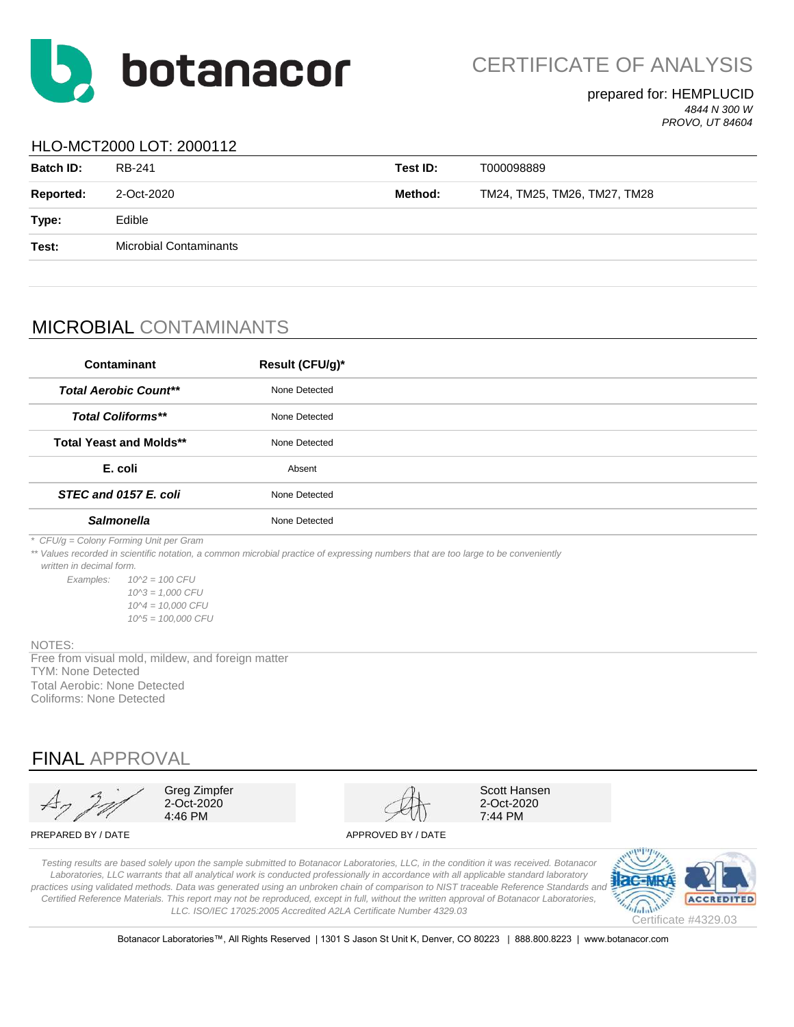

CERTIFICATE OF ANALYSIS

### prepared for: HEMPLUCID *4844 N 300 W*

*PROVO, UT 84604*

## HLO-MCT2000 LOT: 2000112

| <b>Batch ID:</b> | RB-241                        | Test ID: | T000098889                   |
|------------------|-------------------------------|----------|------------------------------|
| <b>Reported:</b> | 2-Oct-2020                    | Method:  | TM24, TM25, TM26, TM27, TM28 |
| Type:            | Edible                        |          |                              |
| Test:            | <b>Microbial Contaminants</b> |          |                              |
|                  |                               |          |                              |

# MICROBIAL CONTAMINANTS

| Contaminant                            | Result (CFU/g)*                                                                                                                    |  |
|----------------------------------------|------------------------------------------------------------------------------------------------------------------------------------|--|
| <b>Total Aerobic Count**</b>           | None Detected                                                                                                                      |  |
| <b>Total Coliforms**</b>               | None Detected                                                                                                                      |  |
| <b>Total Yeast and Molds**</b>         | None Detected                                                                                                                      |  |
| E. coli                                | Absent                                                                                                                             |  |
| STEC and 0157 E. coli                  | None Detected                                                                                                                      |  |
| <b>Salmonella</b>                      | None Detected                                                                                                                      |  |
| * CFU/g = Colony Forming Unit per Gram | ** Values recorded in scientific notation, a common microbial practice of expressing numbers that are too large to be conveniently |  |

 *written in decimal form.*

*Examples: 10^2 = 100 CFU 10^3 = 1,000 CFU 10^4 = 10,000 CFU 10^5 = 100,000 CFU*

#### NOTES:

TYM: None Detected Free from visual mold, mildew, and foreign matter Total Aerobic: None Detected Coliforms: None Detected

## FINAL APPROVAL

| Greg Zimpfer<br>2-Oct-2020<br>4:46 PM |
|---------------------------------------|
|                                       |

Scott Hansen 2-Oct-2020 7:44 PM

#### PREPARED BY / DATE APPROVED BY / DATE

*Testing results are based solely upon the sample submitted to Botanacor Laboratories, LLC, in the condition it was received. Botanacor Laboratories, LLC warrants that all analytical work is conducted professionally in accordance with all applicable standard laboratory*  practices using validated methods. Data was generated using an unbroken chain of comparison to NIST traceable Reference Standards and *Certified Reference Materials. This report may not be reproduced, except in full, without the written approval of Botanacor Laboratories, LLC. ISO/IEC 17025:2005 Accredited A2LA Certificate Number 4329.03*



Botanacor Laboratories™, All Rights Reserved | 1301 S Jason St Unit K, Denver, CO 80223 | 888.800.8223 | www.botanacor.com